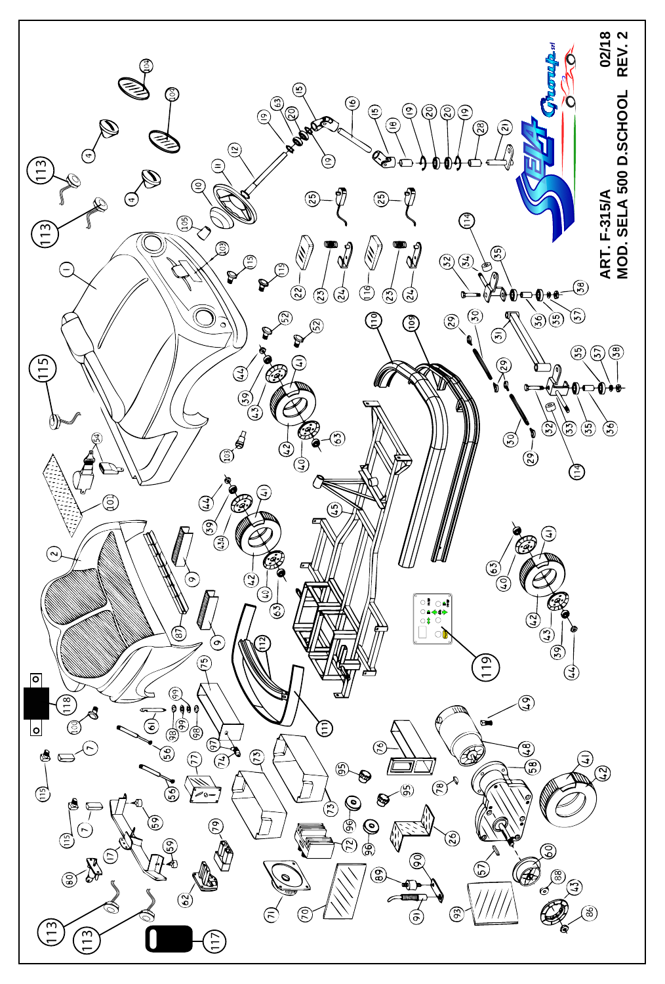